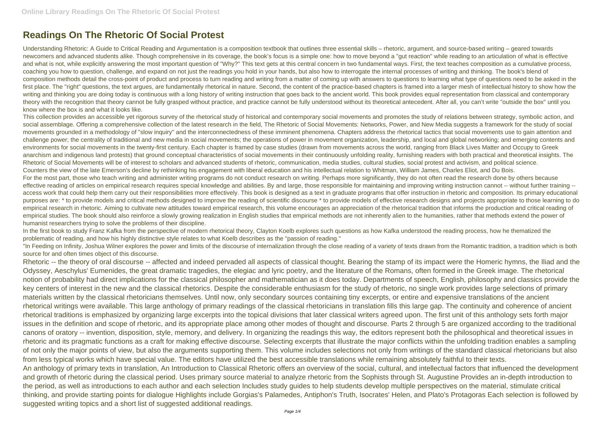## **Readings On The Rhetoric Of Social Protest**

Understanding Rhetoric: A Guide to Critical Reading and Argumentation is a composition textbook that outlines three essential skills – rhetoric, argument, and source-based writing – geared towards newcomers and advanced students alike. Though comprehensive in its coverage, the book's focus is a simple one: how to move beyond a "gut reaction" while reading to an articulation of what is effective and what is not, while explicitly answering the most important question of "Why?" This text gets at this central concern in two fundamental ways. First, the text teaches composition as a cumulative process, coaching you how to question, challenge, and expand on not just the readings you hold in your hands, but also how to interrogate the internal processes of writing and thinking. The book's blend of composition methods detail the cross-point of product and process to turn reading and writing from a matter of coming up with answers to questions to learning what type of questions need to be asked in the first place. The "right" questions, the text argues, are fundamentally rhetorical in nature. Second, the content of the practice-based chapters is framed into a larger mesh of intellectual history to show how the writing and thinking you are doing today is continuous with a long history of writing instruction that goes back to the ancient world. This book provides equal representation from classical and contemporary theory with the recognition that theory cannot be fully grasped without practice, and practice cannot be fully understood without its theoretical antecedent. After all, you can't write "outside the box" until you know where the box is and what it looks like.

"In Feeding on Infinity, Joshua Wilner explores the power and limits of the discourse of internalization through the close reading of a variety of texts drawn from the Romantic tradition, a tradition which is both source for and often times object of this discourse.

This collection provides an accessible yet rigorous survey of the rhetorical study of historical and contemporary social movements and promotes the study of relations between strategy, symbolic action, and social assemblage. Offering a comprehensive collection of the latest research in the field. The Rhetoric of Social Movements: Networks, Power, and New Media suggests a framework for the study of social movements grounded in a methodology of "slow inquiry" and the interconnectedness of these imminent phenomena. Chapters address the rhetorical tactics that social movements use to gain attention and challenge power; the centrality of traditional and new media in social movements; the operations of power in movement organization, leadership, and local and global networking; and emerging contents and environments for social movements in the twenty-first century. Each chapter is framed by case studies (drawn from movements across the world, ranging from Black Lives Matter and Occupy to Greek anarchism and indigenous land protests) that ground conceptual characteristics of social movements in their continuously unfolding reality, furnishing readers with both practical and theoretical insights. The Rhetoric of Social Movements will be of interest to scholars and advanced students of rhetoric, communication, media studies, cultural studies, social protest and activism, and political science. Counters the view of the late Emerson's decline by rethinking his engagement with liberal education and his intellectual relation to Whitman, William James, Charles Eliot, and Du Bois. For the most part, those who teach writing and administer writing programs do not conduct research on writing. Perhaps more significantly, they do not often read the research done by others because effective reading of articles on empirical research requires special knowledge and abilities. By and large, those responsible for maintaining and improving writing instruction cannot -- without further training - access work that could help them carry out their responsibilities more effectively. This book is designed as a text in graduate programs that offer instruction in rhetoric and composition. Its primary educational purposes are: \* to provide models and critical methods designed to improve the reading of scientific discourse \* to provide models of effective research designs and projects appropriate to those learning to do empirical research in rhetoric. Aiming to cultivate new attitudes toward empirical research, this volume encourages an appreciation of the rhetorical tradition that informs the production and critical reading of empirical studies. The book should also reinforce a slowly growing realization in English studies that empirical methods are not inherently alien to the humanities, rather that methods extend the power of humanist researchers trying to solve the problems of their discipline.

In the first book to study Franz Kafka from the perspective of modern rhetorical theory, Clayton Koelb explores such questions as how Kafka understood the reading process, how he thematized the problematic of reading, and how his highly distinctive style relates to what Koelb describes as the "passion of reading."

Rhetoric -- the theory of oral discourse -- affected and indeed pervaded all aspects of classical thought. Bearing the stamp of its impact were the Homeric hymns, the Iliad and the Odyssey, Aeschylus' Eumenides, the great dramatic tragedies, the elegiac and lyric poetry, and the literature of the Romans, often formed in the Greek image. The rhetorical notion of probability had direct implications for the classical philosopher and mathematician as it does today. Departments of speech, English, philosophy and classics provide the key centers of interest in the new and the classical rhetorics. Despite the considerable enthusiasm for the study of rhetoric, no single work provides large selections of primary materials written by the classical rhetoricians themselves. Until now, only secondary sources containing tiny excerpts, or entire and expensive translations of the ancient rhetorical writings were available. This large anthology of primary readings of the classical rhetoricians in translation fills this large gap. The continuity and coherence of ancient rhetorical traditions is emphasized by organizing large excerpts into the topical divisions that later classical writers agreed upon. The first unit of this anthology sets forth major issues in the definition and scope of rhetoric, and its appropriate place among other modes of thought and discourse. Parts 2 through 5 are organized according to the traditional canons of oratory -- invention, disposition, style, memory, and delivery. In organizing the readings this way, the editors represent both the philosophical and theoretical issues in rhetoric and its pragmatic functions as a craft for making effective discourse. Selecting excerpts that illustrate the major conflicts within the unfolding tradition enables a sampling of not only the major points of view, but also the arguments supporting them. This volume includes selections not only from writings of the standard classical rhetoricians but also from less typical works which have special value. The editors have utilized the best accessible translations while remaining absolutely faithful to their texts. An anthology of primary texts in translation, An Introduction to Classical Rhetoric offers an overview of the social, cultural, and intellectual factors that influenced the development and growth of rhetoric during the classical period. Uses primary source material to analyze rhetoric from the Sophists through St. Augustine Provides an in-depth introduction to the period, as well as introductions to each author and each selection Includes study guides to help students develop multiple perspectives on the material, stimulate critical thinking, and provide starting points for dialogue Highlights include Gorgias's Palamedes, Antiphon's Truth, Isocrates' Helen, and Plato's Protagoras Each selection is followed by suggested writing topics and a short list of suggested additional readings.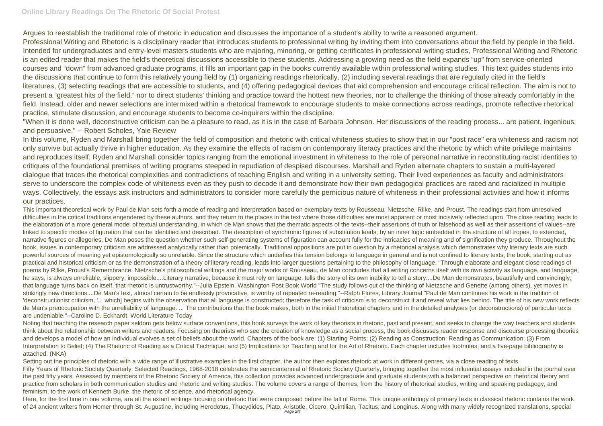## **Online Library Readings On The Rhetoric Of Social Protest**

Argues to reestablish the traditional role of rhetoric in education and discusses the importance of a student's ability to write a reasoned argument. Professional Writing and Rhetoric is a disciplinary reader that introduces students to professional writing by inviting them into conversations about the field by people in the field. Intended for undergraduates and entry-level masters students who are majoring, minoring, or getting certificates in professional writing studies, Professional Writing and Rhetoric is an edited reader that makes the field's theoretical discussions accessible to these students. Addressing a growing need as the field expands "up" from service-oriented courses and "down" from advanced graduate programs, it fills an important gap in the books currently available within professional writing studies. This text guides students into the discussions that continue to form this relatively young field by (1) organizing readings rhetorically, (2) including several readings that are regularly cited in the field's literatures, (3) selecting readings that are accessible to students, and (4) offering pedagogical devices that aid comprehension and encourage critical reflection. The aim is not to present a "greatest hits of the field," nor to direct students' thinking and practice toward the hottest new theories, nor to challenge the thinking of those already comfortably in the field. Instead, older and newer selections are intermixed within a rhetorical framework to encourage students to make connections across readings, promote reflective rhetorical practice, stimulate discussion, and encourage students to become co-inquirers within the discipline.

"When it is done well, deconstructive criticism can be a pleasure to read, as it is in the case of Barbara Johnson. Her discussions of the reading process... are patient, ingenious, and persuasive." -- Robert Scholes, Yale Review

In this volume, Ryden and Marshall bring together the field of composition and rhetoric with critical whiteness studies to show that in our "post race" era whiteness and racism not only survive but actually thrive in higher education. As they examine the effects of racism on contemporary literacy practices and the rhetoric by which white privilege maintains and reproduces itself, Ryden and Marshall consider topics ranging from the emotional investment in whiteness to the role of personal narrative in reconstituting racist identities to critiques of the foundational premises of writing programs steeped in repudiation of despised discourses. Marshall and Ryden alternate chapters to sustain a multi-layered dialogue that traces the rhetorical complexities and contradictions of teaching English and writing in a university setting. Their lived experiences as faculty and administrators serve to underscore the complex code of whiteness even as they push to decode it and demonstrate how their own pedagogical practices are raced and racialized in multiple ways. Collectively, the essays ask instructors and administrators to consider more carefully the pernicious nature of whiteness in their professional activities and how it informs our practices.

Noting that teaching the research paper seldom gets below surface conventions, this book surveys the work of key theorists in rhetoric, past and present, and seeks to change the way teachers and students think about the relationship between writers and readers. Focusing on theorists who see the creation of knowledge as a social process, the book discusses reader response and discourse processing theories and develops a model of how an individual evolves a set of beliefs about the world. Chapters of the book are: (1) Starting Points; (2) Reading as Construction; Reading as Communication; (3) From Interpretation to Belief: (4) The Rhetoric of Reading as a Critical Technique; and (5) Implications for Teaching and for the Art of Rhetoric. Each chapter includes footnotes, and a five-page bibliography is attached. (NKA)

Setting out the principles of rhetoric with a wide range of illustrative examples in the first chapter, the author then explores rhetoric at work in different genres, via a close reading of texts. Fifty Years of Rhetoric Society Quarterly: Selected Readings, 1968-2018 celebrates the semicentennial of Rhetoric Society Quarterly, bringing together the most influential essays included in the journal over the past fifty years. Assessed by members of the Rhetoric Society of America, this collection provides advanced undergraduate and graduate students with a balanced perspective on rhetorical theory and practice from scholars in both communication studies and rhetoric and writing studies. The volume covers a range of themes, from the history of rhetorical studies, writing and speaking pedagogy, and feminism, to the work of Kenneth Burke, the rhetoric of science, and rhetorical agency.

Here, for the first time in one volume, are all the extant writings focusing on rhetoric that were composed before the fall of Rome. This unique anthology of primary texts in classical rhetoric contains the work of 24 ancient writers from Homer through St. Augustine, including Herodotus, Thucydides, Plato, Aristotle, Cicero, Quintilian, Tacitus, and Longinus. Along with many widely recognized translations, special Page 2/4

This important theoretical work by Paul de Man sets forth a mode of reading and interpretation based on exemplary texts by Rousseau, Nietzsche, Rilke, and Proust. The readings start from unresolved difficulties in the critical traditions engendered by these authors, and they return to the places in the text where those difficulties are most apparent or most incisively reflected upon. The close reading leads to the elaboration of a more general model of textual understanding, in which de Man shows that the thematic aspects of the texts--their assertions of truth or falsehood as well as their assertions of values--are linked to specific modes of figuration that can be identified and described. The description of synchronic figures of substitution leads, by an inner logic embedded in the structure of all tropes, to extended, narrative figures or allegories. De Man poses the question whether such self-generating systems of figuration can account fully for the intricacies of meaning and of signification they produce. Throughout the book, issues in contemporary criticism are addressed analytically rather than polemically. Traditional oppositions are put in question by a rhetorical analysis which demonstrates why literary texts are such powerful sources of meaning yet epistemologically so unreliable. Since the structure which underlies this tension belongs to language in general and is not confined to literary texts, the book, starting out as practical and historical criticism or as the demonstration of a theory of literary reading, leads into larger questions pertaining to the philosophy of language. "Through elaborate and elegant close readings of poems by Rilke, Proust's Remembrance, Nietzsche's philosophical writings and the major works of Rousseau, de Man concludes that all writing concerns itself with its own activity as language, and language, he says, is always unreliable, slippery, impossible....Literary narrative, because it must rely on language, tells the story of its own inability to tell a story....De Man demonstrates, beautifully and convincingly, that language turns back on itself, that rhetoric is untrustworthy."--Julia Epstein, Washington Post Book World "The study follows out of the thinking of Nietzsche and Genette (among others), yet moves in strikingly new directions....De Man's text, almost certain to be endlessly provocative, is worthy of repeated re-reading."--Ralph Flores, Library Journal "Paul de Man continues his work in the tradition of 'deconstructionist criticism, '... which] begins with the observation that all language is constructed; therefore the task of criticism is to deconstruct it and reveal what lies behind. The title of his new work reflects de Man's preoccupation with the unreliability of language. ... The contributions that the book makes, both in the initial theoretical chapters and in the detailed analyses (or deconstructions) of particular texts are undeniable."--Caroline D. Eckhardt, World Literature Today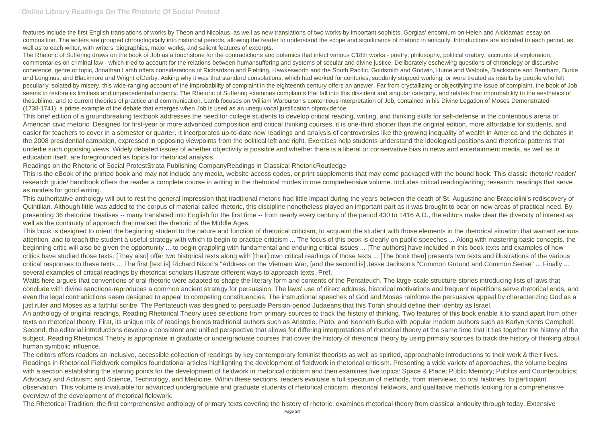## **Online Library Readings On The Rhetoric Of Social Protest**

features include the first English translations of works by Theon and Nicolaus, as well as new translations of two works by important sophists, Gorgias' encomium on Helen and Alcidamas' essay on composition. The writers are grouped chronologically into historical periods, allowing the reader to understand the scope and significance of rhetoric in antiquity. Introductions are included to each period, as well as to each writer, with writers' biographies, major works, and salient features of excerpts.

The Rhetoric of Suffering draws on the book of Job as a touchstone for the contradictions and polemics that infect various C18th works - poetry, philosophy, political oratory, accounts of exploration, commentaries on criminal law - which tried to account for the relations between humansuffering and systems of secular and divine justice. Deliberately eschewing questions of chronology or discursive coherence, genre or topic, Jonathan Lamb offers considerations of Richardson and Fielding, Hawkesworth and the South Pacific, Goldsmith and Godwin, Hume and Walpole, Blackstone and Bentham, Burke and Longinus, and Blackmore and Wright ofDerby. Asking why it was that standard consolations, which had worked for centuries, suddenly stopped working, or were treated as insults by people who felt peculiarly isolated by misery, this wide-ranging account of the improbability of complaint in the eighteenth century offers an answer. Far from crystallizing or objectifying the issue of complaint, the book of Job seems to restore its limitless and unprecedented urgency. The Rhetoric of Suffering examines complaints that fall into this dissident and singular category, and relates their improbability to the aesthetics of thesublime, and to current theories of practice and communication. Lamb focuses on William Warburton's contentious interpretation of Job, contained in his Divine Legation of Moses Demonstrated (1738-1741), a prime example of the debate that emerges when Job is used as an unequivocal justification ofprovidence.

This brief edition of a groundbreaking textbook addresses the need for college students to develop critical reading, writing, and thinking skills for self-defense in the contentious arena of American civic rhetoric. Designed for first-year or more advanced composition and critical thinking courses, it is one-third shorter than the original edition, more affordable for students, and easier for teachers to cover in a semester or quarter. It incorporates up-to-date new readings and analysis of controversies like the growing inequality of wealth in America and the debates in the 2008 presidential campaign, expressed in opposing viewpoints from the political left and right. Exercises help students understand the ideological positions and rhetorical patterns that underlie such opposing views. Widely debated issues of whether objectivity is possible and whether there is a liberal or conservative bias in news and entertainment media, as well as in education itself, are foregrounded as topics for rhetorical analysis.

Readings on the Rhetoric of Social ProtestStrata Publishing CompanyReadings in Classical RhetoricRoutledge

This is the eBook of the printed book and may not include any media, website access codes, or print supplements that may come packaged with the bound book. This classic rhetoric/ reader/ research guide/ handbook offers the reader a complete course in writing in the rhetorical modes in one comprehensive volume. Includes critical reading/writing; research, readings that serve as models for good writing.

The editors offers readers an inclusive, accessible collection of readings by key contemporary feminist theorists as well as spirited, approachable introductions to their work & their lives. Readings in Rhetorical Fieldwork compiles foundational articles highlighting the development of fieldwork in rhetorical criticism. Presenting a wide variety of approaches, the volume begins with a section establishing the starting points for the development of fieldwork in rhetorical criticism and then examines five topics: Space & Place; Public Memory; Publics and Counterpublics; Advocacy and Activism; and Science, Technology, and Medicine. Within these sections, readers evaluate a full spectrum of methods, from interviews, to oral histories, to participant observation. This volume is invaluable for advanced undergraduate and graduate students of rhetorical criticism, rhetorical fieldwork, and qualitative methods looking for a comprehensive overview of the development of rhetorical fieldwork.

This authoritative anthology will put to rest the general impression that traditional rhetoric had little impact during the years between the death of St. Augustine and Bracciolini's rediscovery of Quintilian. Although little was added to the corpus of material called rhetoric, this discipline nonetheless played an important part as it was brought to bear on new areas of practical need. By presenting 36 rhetorical treatises -- many translated into English for the first time -- from nearly every century of the period 430 to 1416 A.D., the editors make clear the diversity of interest as well as the continuity of approach that marked the rhetoric of the Middle Ages.

This book is designed to orient the beginning student to the nature and function of rhetorical criticism, to acquaint the student with those elements in the rhetorical situation that warrant serious attention, and to teach the student a useful strategy with which to begin to practice criticism ... The focus of this book is clearly on public speeches ... Along with mastering basic concepts, the beginning critic will also be given the opportunity ... to begin grappling with fundamental and enduring critical issues ... [The authors] have included in this book texts and examples of how critics have studied those texts. [They also] offer two historical texts along with [their] own critical readings of those texts ... [The book then] presents two texts and illustrations of the various critical responses to these texts ... The first [text is] Richard Nixon's "Address on the Vietnam War, [and the second is] Jesse Jackson's "Common Ground and Common Sense" ... Finally ... several examples of critical readings by rhetorical scholars illustrate different ways to approach texts.-Pref.

Watts here argues that conventions of oral rhetoric were adapted to shape the literary form and contents of the Pentateuch. The large-scale structure-stories introducing lists of laws that conclude with divine sanctions-reproduces a common ancient strategy for persuasion. The laws' use of direct address, historical motivations and frequent repetitions serve rhetorical ends, and even the legal contradictions seem designed to appeal to competing constituencies. The instructional speeches of God and Moses reinforce the persuasive appeal by characterizing God as a just ruler and Moses as a faithful scribe. The Pentateuch was designed to persuade Persian-period Judaeans that this Torah should define their identity as Israel. An anthology of original readings, Reading Rhetorical Theory uses selections from primary sources to track the history of thinking. Two features of this book enable it to stand apart from other texts on rhetorical theory. First, its unique mix of readings blends traditional authors such as Aristotle, Plato, and Kenneth Burke with popular modern authors such as Karlyn Kohrs Campbell. Second, the editorial introductions develop a consistent and unified perspective that allows for differing interpretations of rhetorical theory at the same time that it ties together the history of the subject. Reading Rhetorical Theory is appropriate in graduate or undergraduate courses that cover the history of rhetorical theory by using primary sources to track the history of thinking about human symbolic influence.

The Rhetorical Tradition, the first comprehensive anthology of primary texts covering the history of rhetoric, examines rhetorical theory from classical antiquity through today. Extensive